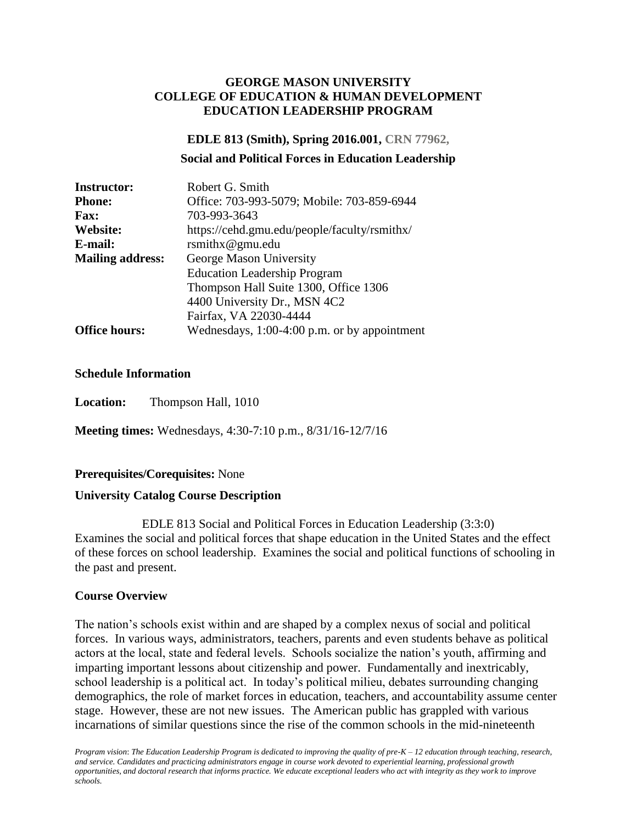#### **GEORGE MASON UNIVERSITY COLLEGE OF EDUCATION & HUMAN DEVELOPMENT EDUCATION LEADERSHIP PROGRAM**

#### **EDLE 813 (Smith), Spring 2016.001, CRN 77962,**

#### **Social and Political Forces in Education Leadership**

| <b>Instructor:</b>      | Robert G. Smith                              |
|-------------------------|----------------------------------------------|
| <b>Phone:</b>           | Office: 703-993-5079; Mobile: 703-859-6944   |
| <b>Fax:</b>             | 703-993-3643                                 |
| Website:                | https://cehd.gmu.edu/people/faculty/rsmithx/ |
| E-mail:                 | rsmithx@gmu.edu                              |
| <b>Mailing address:</b> | George Mason University                      |
|                         | <b>Education Leadership Program</b>          |
|                         | Thompson Hall Suite 1300, Office 1306        |
|                         | 4400 University Dr., MSN 4C2                 |
|                         | Fairfax, VA 22030-4444                       |
| <b>Office hours:</b>    | Wednesdays, 1:00-4:00 p.m. or by appointment |

#### **Schedule Information**

**Location:** Thompson Hall, 1010

**Meeting times:** Wednesdays, 4:30-7:10 p.m., 8/31/16-12/7/16

#### **Prerequisites/Corequisites:** None

#### **University Catalog Course Description**

EDLE 813 Social and Political Forces in Education Leadership (3:3:0) Examines the social and political forces that shape education in the United States and the effect of these forces on school leadership. Examines the social and political functions of schooling in the past and present.

#### **Course Overview**

The nation's schools exist within and are shaped by a complex nexus of social and political forces. In various ways, administrators, teachers, parents and even students behave as political actors at the local, state and federal levels. Schools socialize the nation's youth, affirming and imparting important lessons about citizenship and power. Fundamentally and inextricably, school leadership is a political act. In today's political milieu, debates surrounding changing demographics, the role of market forces in education, teachers, and accountability assume center stage. However, these are not new issues. The American public has grappled with various incarnations of similar questions since the rise of the common schools in the mid-nineteenth

*Program vision*: *The Education Leadership Program is dedicated to improving the quality of pre-K – 12 education through teaching, research, and service. Candidates and practicing administrators engage in course work devoted to experiential learning, professional growth opportunities, and doctoral research that informs practice. We educate exceptional leaders who act with integrity as they work to improve schools.*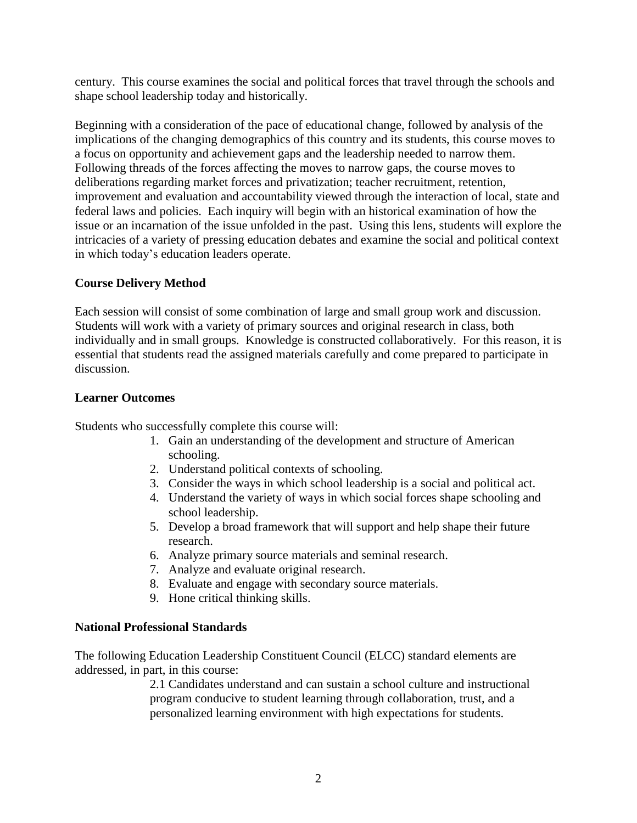century. This course examines the social and political forces that travel through the schools and shape school leadership today and historically.

Beginning with a consideration of the pace of educational change, followed by analysis of the implications of the changing demographics of this country and its students, this course moves to a focus on opportunity and achievement gaps and the leadership needed to narrow them. Following threads of the forces affecting the moves to narrow gaps, the course moves to deliberations regarding market forces and privatization; teacher recruitment, retention, improvement and evaluation and accountability viewed through the interaction of local, state and federal laws and policies. Each inquiry will begin with an historical examination of how the issue or an incarnation of the issue unfolded in the past. Using this lens, students will explore the intricacies of a variety of pressing education debates and examine the social and political context in which today's education leaders operate.

## **Course Delivery Method**

Each session will consist of some combination of large and small group work and discussion. Students will work with a variety of primary sources and original research in class, both individually and in small groups. Knowledge is constructed collaboratively. For this reason, it is essential that students read the assigned materials carefully and come prepared to participate in discussion.

## **Learner Outcomes**

Students who successfully complete this course will:

- 1. Gain an understanding of the development and structure of American schooling.
- 2. Understand political contexts of schooling.
- 3. Consider the ways in which school leadership is a social and political act.
- 4. Understand the variety of ways in which social forces shape schooling and school leadership.
- 5. Develop a broad framework that will support and help shape their future research.
- 6. Analyze primary source materials and seminal research.
- 7. Analyze and evaluate original research.
- 8. Evaluate and engage with secondary source materials.
- 9. Hone critical thinking skills.

#### **National Professional Standards**

The following Education Leadership Constituent Council (ELCC) standard elements are addressed, in part, in this course:

> 2.1 Candidates understand and can sustain a school culture and instructional program conducive to student learning through collaboration, trust, and a personalized learning environment with high expectations for students.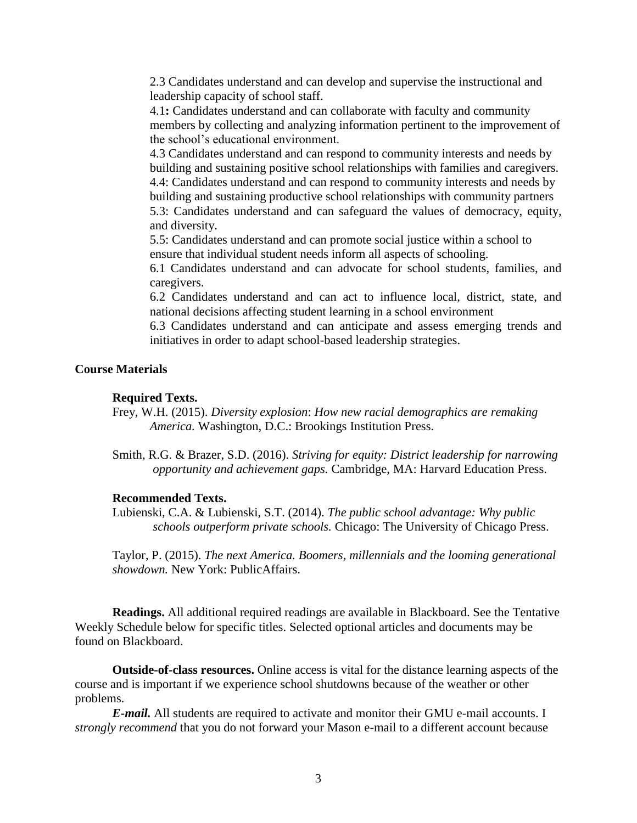2.3 Candidates understand and can develop and supervise the instructional and leadership capacity of school staff.

4.1**:** Candidates understand and can collaborate with faculty and community members by collecting and analyzing information pertinent to the improvement of the school's educational environment.

4.3 Candidates understand and can respond to community interests and needs by building and sustaining positive school relationships with families and caregivers. 4.4: Candidates understand and can respond to community interests and needs by building and sustaining productive school relationships with community partners 5.3: Candidates understand and can safeguard the values of democracy, equity, and diversity.

5.5: Candidates understand and can promote social justice within a school to ensure that individual student needs inform all aspects of schooling.

6.1 Candidates understand and can advocate for school students, families, and caregivers.

6.2 Candidates understand and can act to influence local, district, state, and national decisions affecting student learning in a school environment

6.3 Candidates understand and can anticipate and assess emerging trends and initiatives in order to adapt school-based leadership strategies.

#### **Course Materials**

#### **Required Texts.**

Frey, W.H. (2015). *Diversity explosion*: *How new racial demographics are remaking America.* Washington, D.C.: Brookings Institution Press.

Smith, R.G. & Brazer, S.D. (2016). *Striving for equity: District leadership for narrowing opportunity and achievement gaps.* Cambridge, MA: Harvard Education Press.

#### **Recommended Texts.**

Lubienski, C.A. & Lubienski, S.T. (2014). *The public school advantage: Why public schools outperform private schools.* Chicago: The University of Chicago Press.

Taylor, P. (2015). *The next America. Boomers, millennials and the looming generational showdown.* New York: PublicAffairs.

**Readings.** All additional required readings are available in Blackboard. See the Tentative Weekly Schedule below for specific titles. Selected optional articles and documents may be found on Blackboard.

**Outside-of-class resources.** Online access is vital for the distance learning aspects of the course and is important if we experience school shutdowns because of the weather or other problems.

*E-mail.* All students are required to activate and monitor their GMU e-mail accounts. I *strongly recommend* that you do not forward your Mason e-mail to a different account because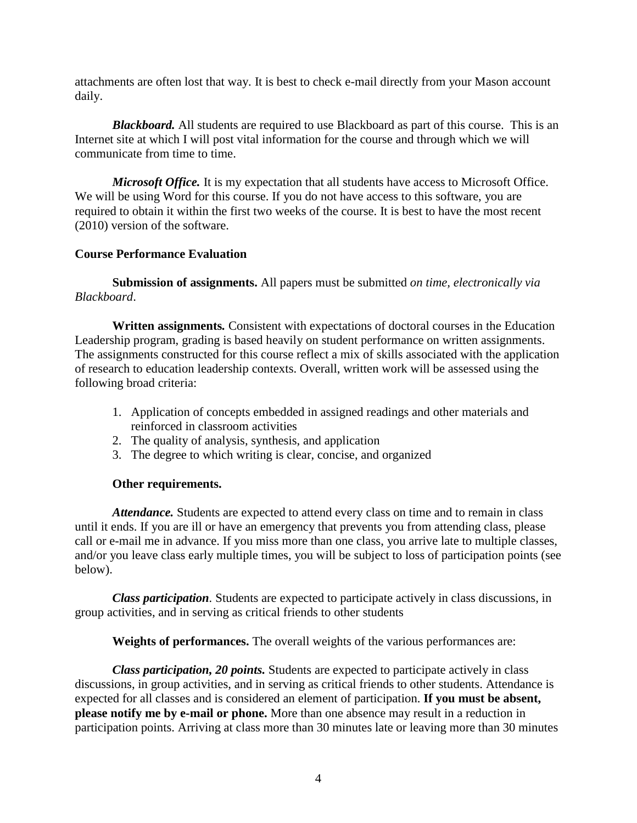attachments are often lost that way. It is best to check e-mail directly from your Mason account daily.

*Blackboard.* All students are required to use Blackboard as part of this course. This is an Internet site at which I will post vital information for the course and through which we will communicate from time to time.

*Microsoft Office.* It is my expectation that all students have access to Microsoft Office. We will be using Word for this course. If you do not have access to this software, you are required to obtain it within the first two weeks of the course. It is best to have the most recent (2010) version of the software.

### **Course Performance Evaluation**

**Submission of assignments.** All papers must be submitted *on time, electronically via Blackboard*.

**Written assignments***.* Consistent with expectations of doctoral courses in the Education Leadership program, grading is based heavily on student performance on written assignments. The assignments constructed for this course reflect a mix of skills associated with the application of research to education leadership contexts. Overall, written work will be assessed using the following broad criteria:

- 1. Application of concepts embedded in assigned readings and other materials and reinforced in classroom activities
- 2. The quality of analysis, synthesis, and application
- 3. The degree to which writing is clear, concise, and organized

#### **Other requirements.**

*Attendance.* Students are expected to attend every class on time and to remain in class until it ends. If you are ill or have an emergency that prevents you from attending class, please call or e-mail me in advance. If you miss more than one class, you arrive late to multiple classes, and/or you leave class early multiple times, you will be subject to loss of participation points (see below).

*Class participation.* Students are expected to participate actively in class discussions, in group activities, and in serving as critical friends to other students

**Weights of performances.** The overall weights of the various performances are:

*Class participation, 20 points.* Students are expected to participate actively in class discussions, in group activities, and in serving as critical friends to other students. Attendance is expected for all classes and is considered an element of participation. **If you must be absent, please notify me by e-mail or phone.** More than one absence may result in a reduction in participation points. Arriving at class more than 30 minutes late or leaving more than 30 minutes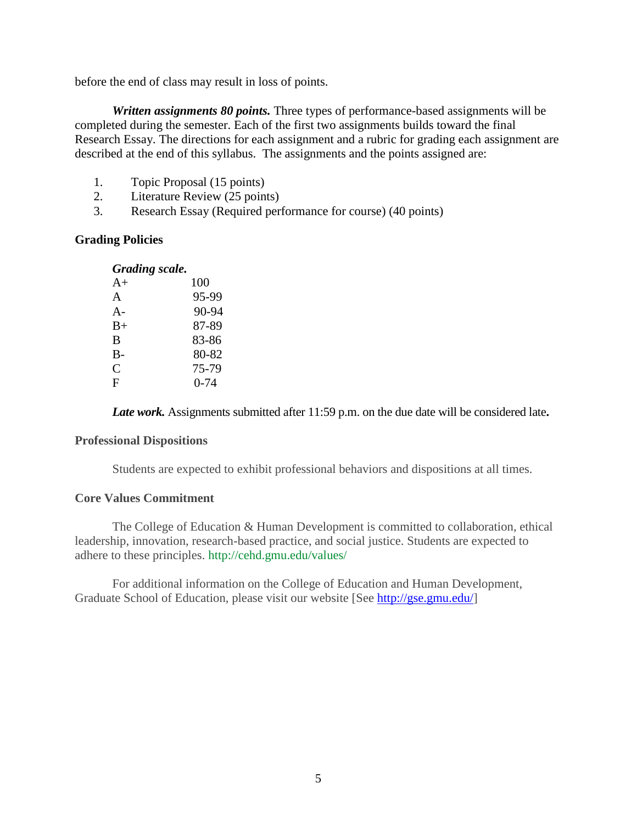before the end of class may result in loss of points.

*Written assignments 80 points.* Three types of performance-based assignments will be completed during the semester. Each of the first two assignments builds toward the final Research Essay. The directions for each assignment and a rubric for grading each assignment are described at the end of this syllabus. The assignments and the points assigned are:

- 1. Topic Proposal (15 points)
- 2. Literature Review (25 points)
- 3. Research Essay (Required performance for course) (40 points)

#### **Grading Policies**

| <b>Grading scale.</b> |  |
|-----------------------|--|
|-----------------------|--|

| $A+$  | 100      |
|-------|----------|
| A     | 95-99    |
| $A -$ | 90-94    |
| $B+$  | 87-89    |
| B     | 83-86    |
| $B -$ | 80-82    |
| C     | 75-79    |
| F     | $0 - 74$ |
|       |          |

*Late work.* Assignments submitted after 11:59 p.m. on the due date will be considered late**.**

#### **Professional Dispositions**

Students are expected to exhibit professional behaviors and dispositions at all times.

#### **Core Values Commitment**

The College of Education & Human Development is committed to collaboration, ethical leadership, innovation, research-based practice, and social justice. Students are expected to adhere to these principles.<http://cehd.gmu.edu/values/>

For additional information on the College of Education and Human Development, Graduate School of Education, please visit our website [See [http://gse.gmu.edu/\]](http://gse.gmu.edu/)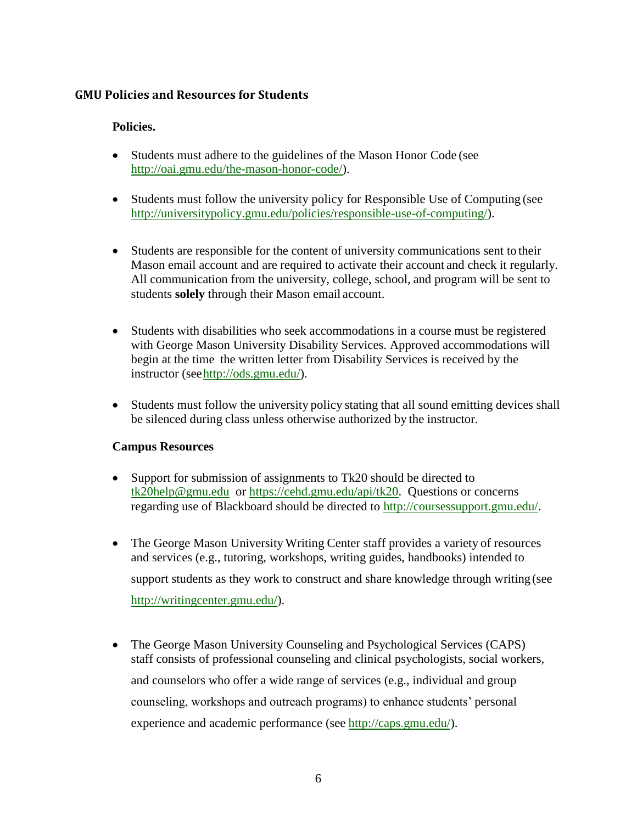## **GMU Policies and Resources for Students**

### **Policies.**

- Students must adhere to the guidelines of the Mason Honor Code (see [http://oai.gmu.edu/the-mason-honor-code/\)](http://oai.gmu.edu/the-mason-honor-code/).
- Students must follow the university policy for Responsible Use of Computing (see [http://universitypolicy.gmu.edu/policies/responsible-use-of-computing/\)](http://universitypolicy.gmu.edu/policies/responsible-use-of-computing/).
- Students are responsible for the content of university communications sent to their Mason email account and are required to activate their account and check it regularly. All communication from the university, college, school, and program will be sent to students **solely** through their Mason email account.
- Students with disabilities who seek accommodations in a course must be registered with George Mason University Disability Services. Approved accommodations will begin at the time the written letter from Disability Services is received by the instructor (se[ehttp://ods.gmu.edu/\)](http://ods.gmu.edu/).
- Students must follow the university policy stating that all sound emitting devices shall be silenced during class unless otherwise authorized by the instructor.

#### **Campus Resources**

- Support for submission of assignments to Tk20 should be directed to [tk20help@gmu.edu](mailto:tk20help@gmu.edu) or [https://cehd.gmu.edu/api/tk20.](https://cehd.gmu.edu/api/tk20) Questions or concerns regarding use of Blackboard should be directed to [http://coursessupport.gmu.edu/.](http://coursessupport.gmu.edu/)
- The George Mason University Writing Center staff provides a variety of resources and services (e.g., tutoring, workshops, writing guides, handbooks) intended to support students as they work to construct and share knowledge through writing(see [http://writingcenter.gmu.edu/\)](http://writingcenter.gmu.edu/).
- The George Mason University Counseling and Psychological Services (CAPS) staff consists of professional counseling and clinical psychologists, social workers, and counselors who offer a wide range of services (e.g., individual and group counseling, workshops and outreach programs) to enhance students' personal experience and academic performance (see [http://caps.gmu.edu/\)](http://caps.gmu.edu/).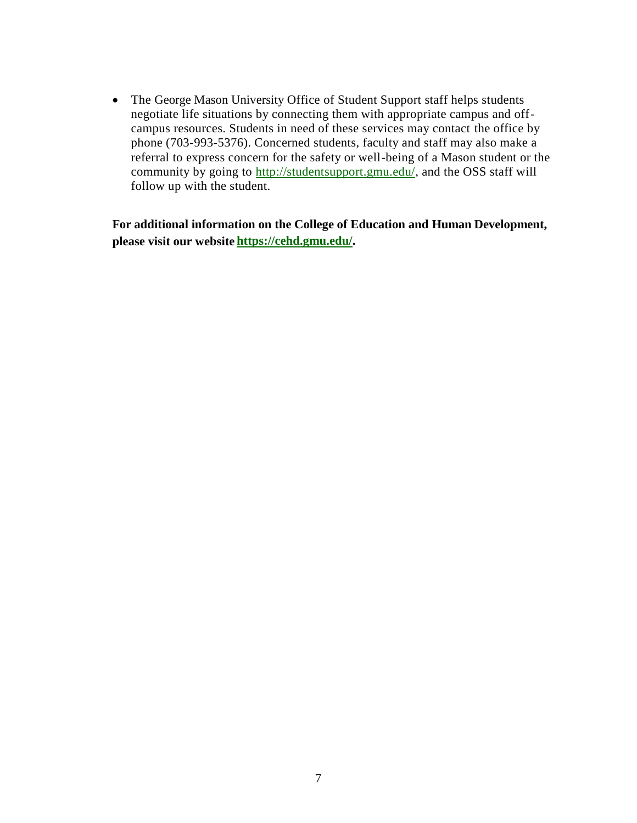• The George Mason University Office of Student Support staff helps students negotiate life situations by connecting them with appropriate campus and offcampus resources. Students in need of these services may contact the office by phone (703-993-5376). Concerned students, faculty and staff may also make a referral to express concern for the safety or well-being of a Mason student or the community by going to [http://studentsupport.gmu.edu/,](http://studentsupport.gmu.edu/) and the OSS staff will follow up with the student.

**For additional information on the College of Education and Human Development, please visit our website https://cehd.gmu.edu/.**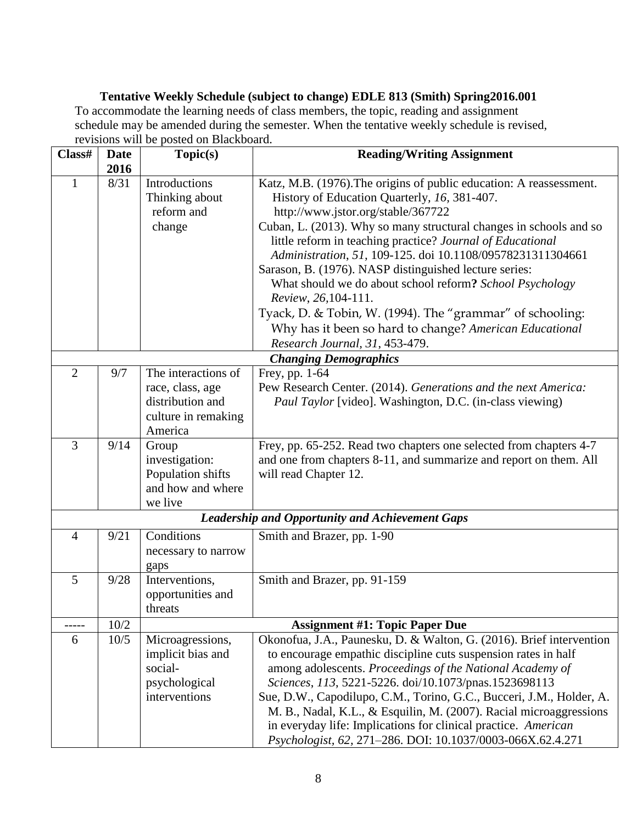## **Tentative Weekly Schedule (subject to change) EDLE 813 (Smith) Spring2016.001** To accommodate the learning needs of class members, the topic, reading and assignment schedule may be amended during the semester. When the tentative weekly schedule is revised,

revisions will be posted on Blackboard.

| Class#         | <b>Date</b> | Topic(s)                                             | <b>Reading/Writing Assignment</b>                                                                                                                         |  |
|----------------|-------------|------------------------------------------------------|-----------------------------------------------------------------------------------------------------------------------------------------------------------|--|
|                | 2016        |                                                      |                                                                                                                                                           |  |
| $\mathbf{1}$   | 8/31        | <b>Introductions</b><br>Thinking about<br>reform and | Katz, M.B. (1976). The origins of public education: A reassessment.<br>History of Education Quarterly, 16, 381-407.<br>http://www.jstor.org/stable/367722 |  |
|                |             | change                                               | Cuban, L. (2013). Why so many structural changes in schools and so<br>little reform in teaching practice? Journal of Educational                          |  |
|                |             |                                                      | Administration, 51, 109-125. doi 10.1108/09578231311304661<br>Sarason, B. (1976). NASP distinguished lecture series:                                      |  |
|                |             |                                                      | What should we do about school reform? School Psychology<br>Review, 26, 104-111.                                                                          |  |
|                |             |                                                      | Tyack, D. & Tobin, W. (1994). The "grammar" of schooling:                                                                                                 |  |
|                |             |                                                      | Why has it been so hard to change? American Educational                                                                                                   |  |
|                |             |                                                      | Research Journal, 31, 453-479.                                                                                                                            |  |
|                |             |                                                      | <b>Changing Demographics</b>                                                                                                                              |  |
| $\overline{2}$ | 9/7         | The interactions of                                  | Frey, pp. 1-64                                                                                                                                            |  |
|                |             | race, class, age                                     | Pew Research Center. (2014). Generations and the next America:                                                                                            |  |
|                |             | distribution and                                     | <i>Paul Taylor</i> [video]. Washington, D.C. (in-class viewing)                                                                                           |  |
|                |             | culture in remaking                                  |                                                                                                                                                           |  |
| $\overline{3}$ |             | America                                              |                                                                                                                                                           |  |
|                | 9/14        | Group<br>investigation:                              | Frey, pp. 65-252. Read two chapters one selected from chapters 4-7<br>and one from chapters 8-11, and summarize and report on them. All                   |  |
|                |             | Population shifts                                    | will read Chapter 12.                                                                                                                                     |  |
|                |             | and how and where                                    |                                                                                                                                                           |  |
|                |             | we live                                              |                                                                                                                                                           |  |
|                |             |                                                      | <b>Leadership and Opportunity and Achievement Gaps</b>                                                                                                    |  |
| $\overline{4}$ | 9/21        | Conditions                                           | Smith and Brazer, pp. 1-90                                                                                                                                |  |
|                |             | necessary to narrow                                  |                                                                                                                                                           |  |
|                |             | gaps                                                 |                                                                                                                                                           |  |
| 5              | 9/28        | Interventions,                                       | Smith and Brazer, pp. 91-159                                                                                                                              |  |
|                |             | opportunities and                                    |                                                                                                                                                           |  |
|                |             | threats                                              |                                                                                                                                                           |  |
|                | 10/2        |                                                      | <b>Assignment #1: Topic Paper Due</b>                                                                                                                     |  |
| 6              | 10/5        | Microagressions,                                     | Okonofua, J.A., Paunesku, D. & Walton, G. (2016). Brief intervention                                                                                      |  |
|                |             | implicit bias and                                    | to encourage empathic discipline cuts suspension rates in half                                                                                            |  |
|                |             | social-                                              | among adolescents. Proceedings of the National Academy of                                                                                                 |  |
|                |             | psychological                                        | Sciences, 113, 5221-5226. doi/10.1073/pnas.1523698113                                                                                                     |  |
|                |             | interventions                                        | Sue, D.W., Capodilupo, C.M., Torino, G.C., Bucceri, J.M., Holder, A.                                                                                      |  |
|                |             |                                                      | M. B., Nadal, K.L., & Esquilin, M. (2007). Racial microaggressions                                                                                        |  |
|                |             |                                                      | in everyday life: Implications for clinical practice. American                                                                                            |  |
|                |             |                                                      | Psychologist, 62, 271-286. DOI: 10.1037/0003-066X.62.4.271                                                                                                |  |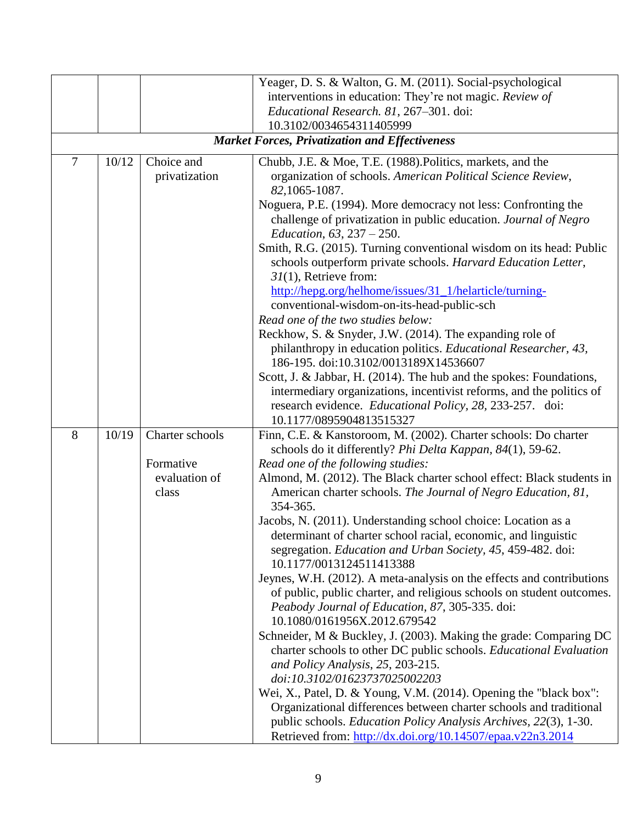|                |                                                          |                 | Yeager, D. S. & Walton, G. M. (2011). Social-psychological                                               |  |  |
|----------------|----------------------------------------------------------|-----------------|----------------------------------------------------------------------------------------------------------|--|--|
|                | interventions in education: They're not magic. Review of |                 |                                                                                                          |  |  |
|                |                                                          |                 | Educational Research. 81, 267-301. doi:                                                                  |  |  |
|                |                                                          |                 | 10.3102/0034654311405999                                                                                 |  |  |
|                |                                                          |                 | <b>Market Forces, Privatization and Effectiveness</b>                                                    |  |  |
| $\overline{7}$ | 10/12                                                    | Choice and      | Chubb, J.E. & Moe, T.E. (1988). Politics, markets, and the                                               |  |  |
|                |                                                          | privatization   | organization of schools. American Political Science Review,                                              |  |  |
|                |                                                          |                 | 82, 1065-1087.                                                                                           |  |  |
|                |                                                          |                 | Noguera, P.E. (1994). More democracy not less: Confronting the                                           |  |  |
|                |                                                          |                 | challenge of privatization in public education. Journal of Negro                                         |  |  |
|                | Education, $63, 237 - 250$ .                             |                 |                                                                                                          |  |  |
|                |                                                          |                 | Smith, R.G. (2015). Turning conventional wisdom on its head: Public                                      |  |  |
|                |                                                          |                 | schools outperform private schools. Harvard Education Letter,                                            |  |  |
|                |                                                          |                 | $31(1)$ , Retrieve from:                                                                                 |  |  |
|                |                                                          |                 | http://hepg.org/helhome/issues/31_1/helarticle/turning-                                                  |  |  |
|                |                                                          |                 | conventional-wisdom-on-its-head-public-sch                                                               |  |  |
|                |                                                          |                 | Read one of the two studies below:                                                                       |  |  |
|                |                                                          |                 | Reckhow, S. & Snyder, J.W. (2014). The expanding role of                                                 |  |  |
|                |                                                          |                 | philanthropy in education politics. Educational Researcher, 43,<br>186-195. doi:10.3102/0013189X14536607 |  |  |
|                |                                                          |                 | Scott, J. & Jabbar, H. (2014). The hub and the spokes: Foundations,                                      |  |  |
|                |                                                          |                 | intermediary organizations, incentivist reforms, and the politics of                                     |  |  |
|                |                                                          |                 | research evidence. Educational Policy, 28, 233-257. doi:                                                 |  |  |
|                |                                                          |                 | 10.1177/0895904813515327                                                                                 |  |  |
| 8              | 10/19                                                    | Charter schools | Finn, C.E. & Kanstoroom, M. (2002). Charter schools: Do charter                                          |  |  |
|                |                                                          |                 | schools do it differently? Phi Delta Kappan, 84(1), 59-62.                                               |  |  |
|                |                                                          | Formative       | Read one of the following studies:                                                                       |  |  |
|                |                                                          | evaluation of   | Almond, M. (2012). The Black charter school effect: Black students in                                    |  |  |
|                |                                                          | class           | American charter schools. The Journal of Negro Education, 81,                                            |  |  |
|                |                                                          |                 | 354-365.                                                                                                 |  |  |
|                |                                                          |                 | Jacobs, N. (2011). Understanding school choice: Location as a                                            |  |  |
|                |                                                          |                 | determinant of charter school racial, economic, and linguistic                                           |  |  |
|                |                                                          |                 | segregation. <i>Education and Urban Society</i> , 45, 459-482. doi:                                      |  |  |
|                |                                                          |                 | 10.1177/0013124511413388                                                                                 |  |  |
|                |                                                          |                 | Jeynes, W.H. (2012). A meta-analysis on the effects and contributions                                    |  |  |
|                |                                                          |                 | of public, public charter, and religious schools on student outcomes.                                    |  |  |
|                |                                                          |                 | Peabody Journal of Education, 87, 305-335. doi:                                                          |  |  |
|                |                                                          |                 | 10.1080/0161956X.2012.679542                                                                             |  |  |
|                |                                                          |                 | Schneider, M & Buckley, J. (2003). Making the grade: Comparing DC                                        |  |  |
|                |                                                          |                 | charter schools to other DC public schools. Educational Evaluation<br>and Policy Analysis, 25, 203-215.  |  |  |
|                |                                                          |                 | doi:10.3102/01623737025002203                                                                            |  |  |
|                |                                                          |                 | Wei, X., Patel, D. & Young, V.M. (2014). Opening the "black box":                                        |  |  |
|                |                                                          |                 | Organizational differences between charter schools and traditional                                       |  |  |
|                |                                                          |                 | public schools. Education Policy Analysis Archives, 22(3), 1-30.                                         |  |  |
|                |                                                          |                 | Retrieved from: http://dx.doi.org/10.14507/epaa.v22n3.2014                                               |  |  |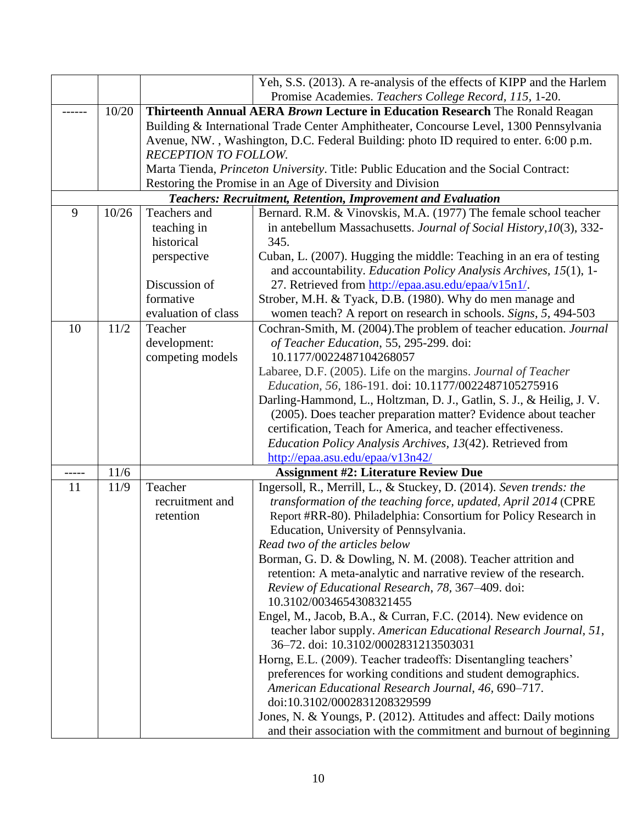|       |       |                      | Yeh, S.S. (2013). A re-analysis of the effects of KIPP and the Harlem                  |  |  |
|-------|-------|----------------------|----------------------------------------------------------------------------------------|--|--|
|       |       |                      | Promise Academies. Teachers College Record, 115, 1-20.                                 |  |  |
|       | 10/20 |                      | Thirteenth Annual AERA Brown Lecture in Education Research The Ronald Reagan           |  |  |
|       |       |                      | Building & International Trade Center Amphitheater, Concourse Level, 1300 Pennsylvania |  |  |
|       |       |                      | Avenue, NW., Washington, D.C. Federal Building: photo ID required to enter. 6:00 p.m.  |  |  |
|       |       | RECEPTION TO FOLLOW. |                                                                                        |  |  |
|       |       |                      | Marta Tienda, Princeton University. Title: Public Education and the Social Contract:   |  |  |
|       |       |                      | Restoring the Promise in an Age of Diversity and Division                              |  |  |
|       |       |                      | <b>Teachers: Recruitment, Retention, Improvement and Evaluation</b>                    |  |  |
| 9     | 10/26 | Teachers and         | Bernard. R.M. & Vinovskis, M.A. (1977) The female school teacher                       |  |  |
|       |       | teaching in          | in antebellum Massachusetts. Journal of Social History, 10(3), 332-                    |  |  |
|       |       | historical           | 345.                                                                                   |  |  |
|       |       | perspective          | Cuban, L. (2007). Hugging the middle: Teaching in an era of testing                    |  |  |
|       |       |                      | and accountability. Education Policy Analysis Archives, 15(1), 1-                      |  |  |
|       |       | Discussion of        | 27. Retrieved from http://epaa.asu.edu/epaa/v15n1/.                                    |  |  |
|       |       | formative            | Strober, M.H. & Tyack, D.B. (1980). Why do men manage and                              |  |  |
|       |       | evaluation of class  | women teach? A report on research in schools. Signs, 5, 494-503                        |  |  |
| 10    | 11/2  | Teacher              | Cochran-Smith, M. (2004). The problem of teacher education. Journal                    |  |  |
|       |       | development:         | of Teacher Education, 55, 295-299. doi:                                                |  |  |
|       |       | competing models     | 10.1177/0022487104268057                                                               |  |  |
|       |       |                      | Labaree, D.F. (2005). Life on the margins. Journal of Teacher                          |  |  |
|       |       |                      | Education, 56, 186-191. doi: 10.1177/0022487105275916                                  |  |  |
|       |       |                      | Darling-Hammond, L., Holtzman, D. J., Gatlin, S. J., & Heilig, J. V.                   |  |  |
|       |       |                      | (2005). Does teacher preparation matter? Evidence about teacher                        |  |  |
|       |       |                      | certification, Teach for America, and teacher effectiveness.                           |  |  |
|       |       |                      | Education Policy Analysis Archives, 13(42). Retrieved from                             |  |  |
|       |       |                      | http://epaa.asu.edu/epaa/v13n42/                                                       |  |  |
| ----- | 11/6  |                      | <b>Assignment #2: Literature Review Due</b>                                            |  |  |
| 11    | 11/9  | Teacher              | Ingersoll, R., Merrill, L., & Stuckey, D. (2014). Seven trends: the                    |  |  |
|       |       | recruitment and      | transformation of the teaching force, updated, April 2014 (CPRE                        |  |  |
|       |       | retention            | Report #RR-80). Philadelphia: Consortium for Policy Research in                        |  |  |
|       |       |                      | Education, University of Pennsylvania.                                                 |  |  |
|       |       |                      | Read two of the articles below                                                         |  |  |
|       |       |                      | Borman, G. D. & Dowling, N. M. (2008). Teacher attrition and                           |  |  |
|       |       |                      | retention: A meta-analytic and narrative review of the research.                       |  |  |
|       |       |                      | Review of Educational Research, 78, 367-409. doi:                                      |  |  |
|       |       |                      | 10.3102/0034654308321455                                                               |  |  |
|       |       |                      | Engel, M., Jacob, B.A., & Curran, F.C. (2014). New evidence on                         |  |  |
|       |       |                      | teacher labor supply. American Educational Research Journal, 51,                       |  |  |
|       |       |                      | 36-72. doi: 10.3102/0002831213503031                                                   |  |  |
|       |       |                      | Horng, E.L. (2009). Teacher tradeoffs: Disentangling teachers'                         |  |  |
|       |       |                      | preferences for working conditions and student demographics.                           |  |  |
|       |       |                      | American Educational Research Journal, 46, 690-717.                                    |  |  |
|       |       |                      | doi:10.3102/0002831208329599                                                           |  |  |
|       |       |                      | Jones, N. & Youngs, P. (2012). Attitudes and affect: Daily motions                     |  |  |
|       |       |                      | and their association with the commitment and burnout of beginning                     |  |  |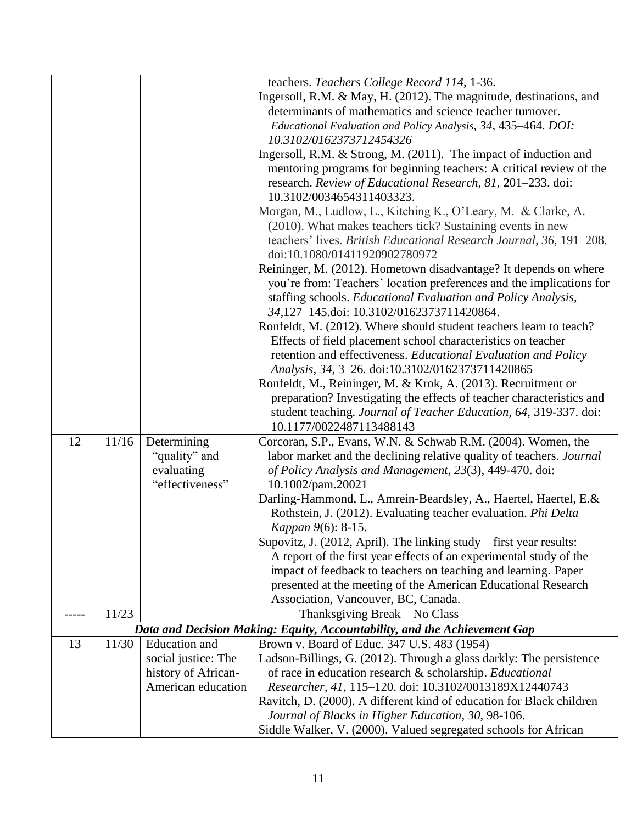|       |       |                      | teachers. Teachers College Record 114, 1-36.                              |  |  |  |
|-------|-------|----------------------|---------------------------------------------------------------------------|--|--|--|
|       |       |                      | Ingersoll, R.M. & May, H. (2012). The magnitude, destinations, and        |  |  |  |
|       |       |                      | determinants of mathematics and science teacher turnover.                 |  |  |  |
|       |       |                      | Educational Evaluation and Policy Analysis, 34, 435–464. DOI:             |  |  |  |
|       |       |                      | 10.3102/0162373712454326                                                  |  |  |  |
|       |       |                      | Ingersoll, R.M. & Strong, M. (2011). The impact of induction and          |  |  |  |
|       |       |                      | mentoring programs for beginning teachers: A critical review of the       |  |  |  |
|       |       |                      | research. Review of Educational Research, 81, 201-233. doi:               |  |  |  |
|       |       |                      | 10.3102/0034654311403323.                                                 |  |  |  |
|       |       |                      | Morgan, M., Ludlow, L., Kitching K., O'Leary, M. & Clarke, A.             |  |  |  |
|       |       |                      | (2010). What makes teachers tick? Sustaining events in new                |  |  |  |
|       |       |                      | teachers' lives. British Educational Research Journal, 36, 191-208.       |  |  |  |
|       |       |                      | doi:10.1080/01411920902780972                                             |  |  |  |
|       |       |                      |                                                                           |  |  |  |
|       |       |                      | Reininger, M. (2012). Hometown disadvantage? It depends on where          |  |  |  |
|       |       |                      | you're from: Teachers' location preferences and the implications for      |  |  |  |
|       |       |                      | staffing schools. Educational Evaluation and Policy Analysis,             |  |  |  |
|       |       |                      | 34,127-145.doi: 10.3102/0162373711420864.                                 |  |  |  |
|       |       |                      | Ronfeldt, M. (2012). Where should student teachers learn to teach?        |  |  |  |
|       |       |                      | Effects of field placement school characteristics on teacher              |  |  |  |
|       |       |                      | retention and effectiveness. Educational Evaluation and Policy            |  |  |  |
|       |       |                      | Analysis, 34, 3-26. doi:10.3102/0162373711420865                          |  |  |  |
|       |       |                      | Ronfeldt, M., Reininger, M. & Krok, A. (2013). Recruitment or             |  |  |  |
|       |       |                      | preparation? Investigating the effects of teacher characteristics and     |  |  |  |
|       |       |                      | student teaching. Journal of Teacher Education, 64, 319-337. doi:         |  |  |  |
|       |       |                      | 10.1177/0022487113488143                                                  |  |  |  |
| 12    | 11/16 | Determining          | Corcoran, S.P., Evans, W.N. & Schwab R.M. (2004). Women, the              |  |  |  |
|       |       | "quality" and        | labor market and the declining relative quality of teachers. Journal      |  |  |  |
|       |       | evaluating           | of Policy Analysis and Management, 23(3), 449-470. doi:                   |  |  |  |
|       |       | "effectiveness"      | 10.1002/pam.20021                                                         |  |  |  |
|       |       |                      | Darling-Hammond, L., Amrein-Beardsley, A., Haertel, Haertel, E.&          |  |  |  |
|       |       |                      | Rothstein, J. (2012). Evaluating teacher evaluation. Phi Delta            |  |  |  |
|       |       |                      | Kappan 9(6): 8-15.                                                        |  |  |  |
|       |       |                      | Supovitz, J. (2012, April). The linking study—first year results:         |  |  |  |
|       |       |                      | A report of the first year effects of an experimental study of the        |  |  |  |
|       |       |                      | impact of feedback to teachers on teaching and learning. Paper            |  |  |  |
|       |       |                      | presented at the meeting of the American Educational Research             |  |  |  |
|       |       |                      | Association, Vancouver, BC, Canada.                                       |  |  |  |
| ----- | 11/23 |                      | Thanksgiving Break-No Class                                               |  |  |  |
|       |       |                      | Data and Decision Making: Equity, Accountability, and the Achievement Gap |  |  |  |
| 13    | 11/30 | <b>Education</b> and | Brown v. Board of Educ. 347 U.S. 483 (1954)                               |  |  |  |
|       |       | social justice: The  | Ladson-Billings, G. (2012). Through a glass darkly: The persistence       |  |  |  |
|       |       | history of African-  | of race in education research & scholarship. Educational                  |  |  |  |
|       |       | American education   | Researcher, 41, 115-120. doi: 10.3102/0013189X12440743                    |  |  |  |
|       |       |                      | Ravitch, D. (2000). A different kind of education for Black children      |  |  |  |
|       |       |                      | Journal of Blacks in Higher Education, 30, 98-106.                        |  |  |  |
|       |       |                      | Siddle Walker, V. (2000). Valued segregated schools for African           |  |  |  |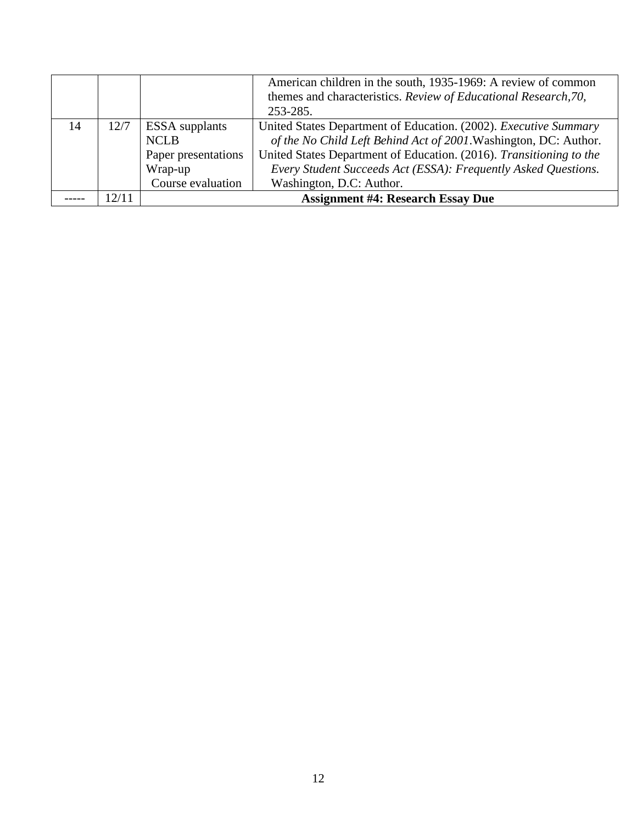|    |      |                       | American children in the south, 1935-1969: A review of common       |
|----|------|-----------------------|---------------------------------------------------------------------|
|    |      |                       | themes and characteristics. Review of Educational Research, 70,     |
|    |      |                       | 253-285.                                                            |
| 14 | 12/7 | <b>ESSA</b> supplants | United States Department of Education. (2002). Executive Summary    |
|    |      | <b>NCLB</b>           | of the No Child Left Behind Act of 2001. Washington, DC: Author.    |
|    |      | Paper presentations   | United States Department of Education. (2016). Transitioning to the |
|    |      | Wrap-up               | Every Student Succeeds Act (ESSA): Frequently Asked Questions.      |
|    |      | Course evaluation     | Washington, D.C: Author.                                            |
|    | 2/11 |                       | <b>Assignment #4: Research Essay Due</b>                            |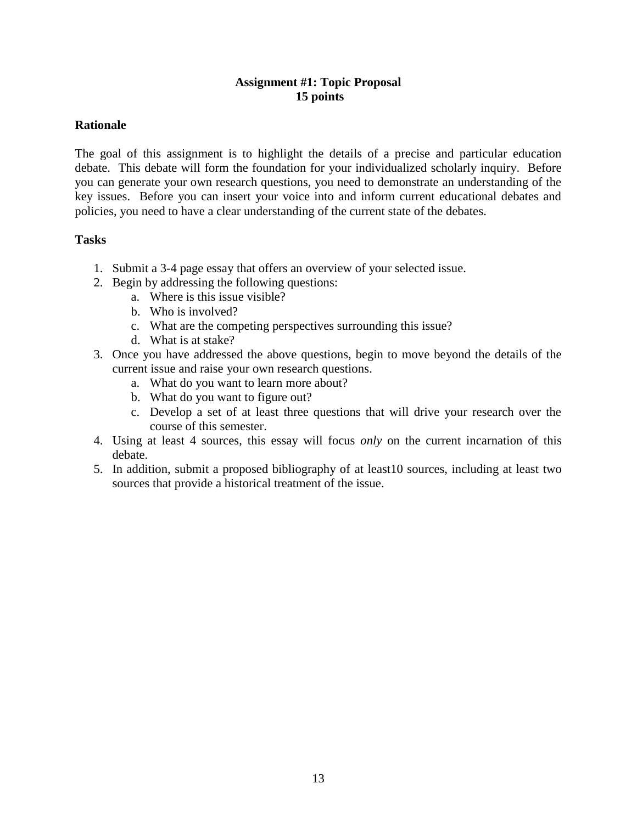## **Assignment #1: Topic Proposal 15 points**

### **Rationale**

The goal of this assignment is to highlight the details of a precise and particular education debate. This debate will form the foundation for your individualized scholarly inquiry. Before you can generate your own research questions, you need to demonstrate an understanding of the key issues. Before you can insert your voice into and inform current educational debates and policies, you need to have a clear understanding of the current state of the debates.

### **Tasks**

- 1. Submit a 3-4 page essay that offers an overview of your selected issue.
- 2. Begin by addressing the following questions:
	- a. Where is this issue visible?
	- b. Who is involved?
	- c. What are the competing perspectives surrounding this issue?
	- d. What is at stake?
- 3. Once you have addressed the above questions, begin to move beyond the details of the current issue and raise your own research questions.
	- a. What do you want to learn more about?
	- b. What do you want to figure out?
	- c. Develop a set of at least three questions that will drive your research over the course of this semester.
- 4. Using at least 4 sources, this essay will focus *only* on the current incarnation of this debate.
- 5. In addition, submit a proposed bibliography of at least10 sources, including at least two sources that provide a historical treatment of the issue.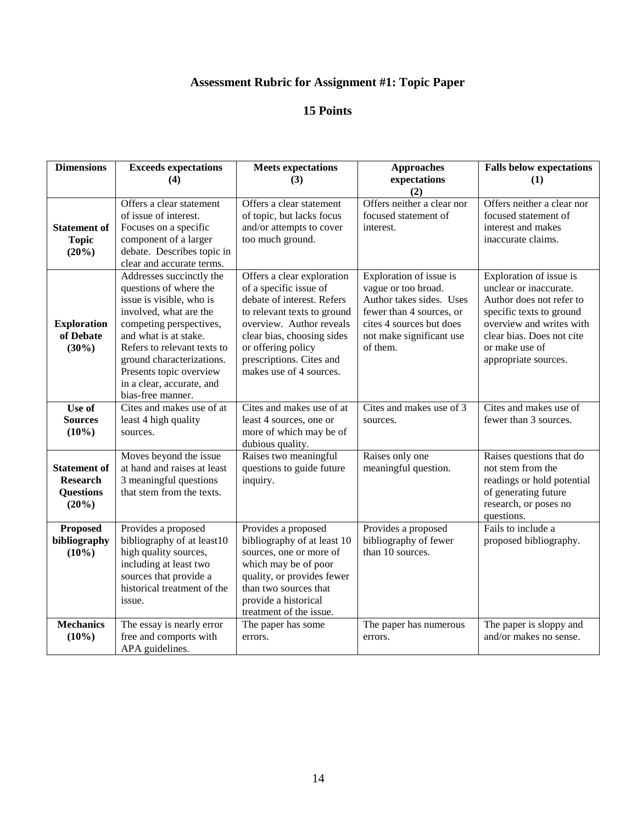# **Assessment Rubric for Assignment #1: Topic Paper**

| <b>Dimensions</b>                                                   | <b>Exceeds expectations</b><br>(4)                                                                                                                                                                                                                                                                    | <b>Meets</b> expectations<br>(3)                                                                                                                                                                                                                         | <b>Approaches</b><br>expectations                                                                                                                                          | <b>Falls below expectations</b><br>(1)                                                                                                                                                                       |
|---------------------------------------------------------------------|-------------------------------------------------------------------------------------------------------------------------------------------------------------------------------------------------------------------------------------------------------------------------------------------------------|----------------------------------------------------------------------------------------------------------------------------------------------------------------------------------------------------------------------------------------------------------|----------------------------------------------------------------------------------------------------------------------------------------------------------------------------|--------------------------------------------------------------------------------------------------------------------------------------------------------------------------------------------------------------|
|                                                                     |                                                                                                                                                                                                                                                                                                       |                                                                                                                                                                                                                                                          | (2)                                                                                                                                                                        |                                                                                                                                                                                                              |
| <b>Statement of</b><br><b>Topic</b><br>(20%)                        | Offers a clear statement<br>of issue of interest.<br>Focuses on a specific<br>component of a larger<br>debate. Describes topic in<br>clear and accurate terms.                                                                                                                                        | Offers a clear statement<br>of topic, but lacks focus<br>and/or attempts to cover<br>too much ground.                                                                                                                                                    | Offers neither a clear nor<br>focused statement of<br>interest.                                                                                                            | Offers neither a clear nor<br>focused statement of<br>interest and makes<br>inaccurate claims.                                                                                                               |
| <b>Exploration</b><br>of Debate<br>$(30\%)$                         | Addresses succinctly the<br>questions of where the<br>issue is visible, who is<br>involved, what are the<br>competing perspectives,<br>and what is at stake.<br>Refers to relevant texts to<br>ground characterizations.<br>Presents topic overview<br>in a clear, accurate, and<br>bias-free manner. | Offers a clear exploration<br>of a specific issue of<br>debate of interest. Refers<br>to relevant texts to ground<br>overview. Author reveals<br>clear bias, choosing sides<br>or offering policy<br>prescriptions. Cites and<br>makes use of 4 sources. | Exploration of issue is<br>vague or too broad.<br>Author takes sides. Uses<br>fewer than 4 sources, or<br>cites 4 sources but does<br>not make significant use<br>of them. | Exploration of issue is<br>unclear or inaccurate.<br>Author does not refer to<br>specific texts to ground<br>overview and writes with<br>clear bias. Does not cite<br>or make use of<br>appropriate sources. |
| Use of<br><b>Sources</b><br>(10%)                                   | Cites and makes use of at<br>least 4 high quality<br>sources.                                                                                                                                                                                                                                         | Cites and makes use of at<br>least 4 sources, one or<br>more of which may be of<br>dubious quality.                                                                                                                                                      | Cites and makes use of 3<br>sources.                                                                                                                                       | Cites and makes use of<br>fewer than 3 sources.                                                                                                                                                              |
| <b>Statement of</b><br><b>Research</b><br><b>Questions</b><br>(20%) | Moves beyond the issue<br>at hand and raises at least<br>3 meaningful questions<br>that stem from the texts.                                                                                                                                                                                          | Raises two meaningful<br>questions to guide future<br>inquiry.                                                                                                                                                                                           | Raises only one<br>meaningful question.                                                                                                                                    | Raises questions that do<br>not stem from the<br>readings or hold potential<br>of generating future<br>research, or poses no<br>questions.                                                                   |
| <b>Proposed</b><br>bibliography<br>$(10\%)$                         | Provides a proposed<br>bibliography of at least10<br>high quality sources,<br>including at least two<br>sources that provide a<br>historical treatment of the<br>issue.                                                                                                                               | Provides a proposed<br>bibliography of at least 10<br>sources, one or more of<br>which may be of poor<br>quality, or provides fewer<br>than two sources that<br>provide a historical<br>treatment of the issue.                                          | Provides a proposed<br>bibliography of fewer<br>than 10 sources.                                                                                                           | Fails to include a<br>proposed bibliography.                                                                                                                                                                 |
| <b>Mechanics</b><br>$(10\%)$                                        | The essay is nearly error<br>free and comports with<br>APA guidelines.                                                                                                                                                                                                                                | The paper has some<br>errors.                                                                                                                                                                                                                            | The paper has numerous<br>errors.                                                                                                                                          | The paper is sloppy and<br>and/or makes no sense.                                                                                                                                                            |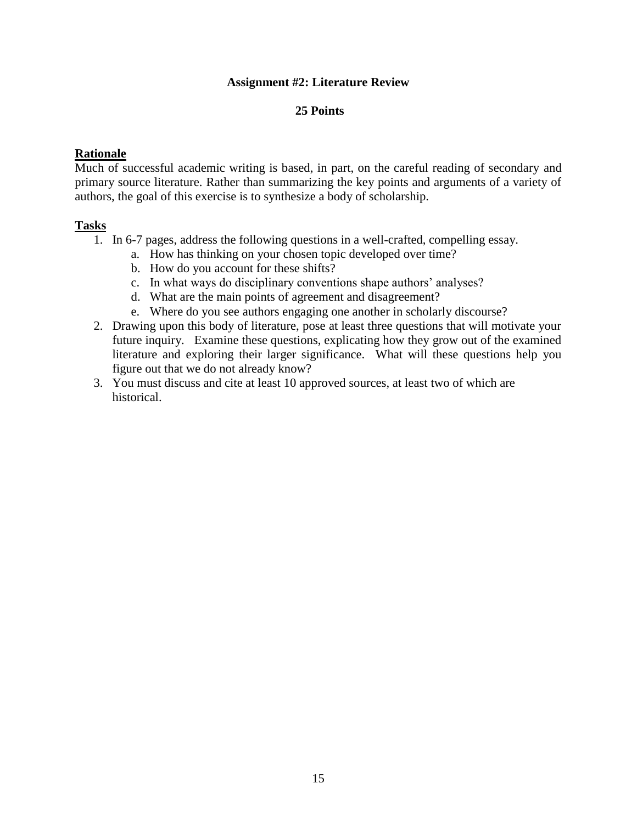### **Assignment #2: Literature Review**

### **25 Points**

### **Rationale**

Much of successful academic writing is based, in part, on the careful reading of secondary and primary source literature. Rather than summarizing the key points and arguments of a variety of authors, the goal of this exercise is to synthesize a body of scholarship.

#### **Tasks**

- 1. In 6-7 pages, address the following questions in a well-crafted, compelling essay.
	- a. How has thinking on your chosen topic developed over time?
	- b. How do you account for these shifts?
	- c. In what ways do disciplinary conventions shape authors' analyses?
	- d. What are the main points of agreement and disagreement?
	- e. Where do you see authors engaging one another in scholarly discourse?
- 2. Drawing upon this body of literature, pose at least three questions that will motivate your future inquiry. Examine these questions, explicating how they grow out of the examined literature and exploring their larger significance. What will these questions help you figure out that we do not already know?
- 3. You must discuss and cite at least 10 approved sources, at least two of which are historical.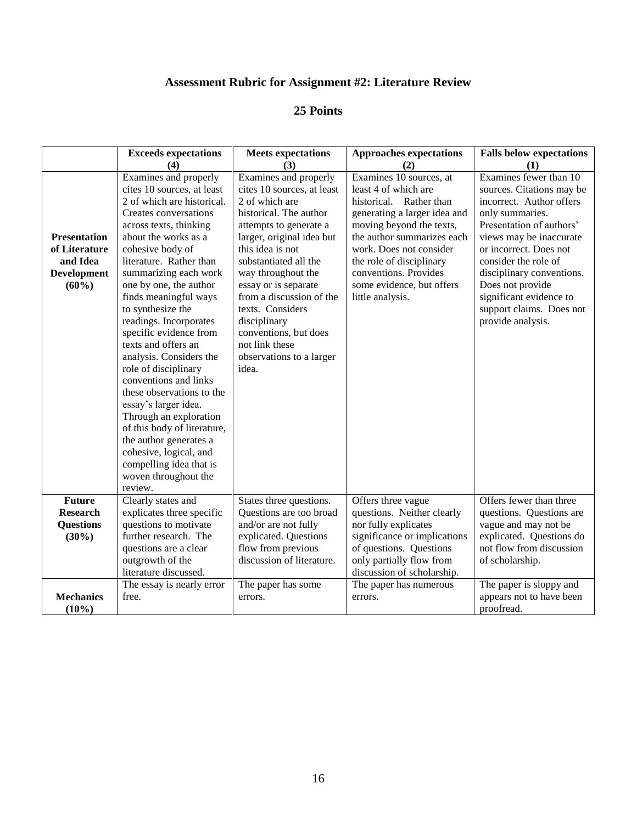## **Assessment Rubric for Assignment #2: Literature Review**

|                                                                                    | <b>Exceeds expectations</b>                                                                                                                                                                                                                                                                                                                                                                                                                                                                                                                                                                                                                                                                         | <b>Meets expectations</b>                                                                                                                                                                                                                                                                                                                                                                         | <b>Approaches expectations</b>                                                                                                                                                                                                                                                                        | <b>Falls below expectations</b>                                                                                                                                                                                                                                                                                                          |
|------------------------------------------------------------------------------------|-----------------------------------------------------------------------------------------------------------------------------------------------------------------------------------------------------------------------------------------------------------------------------------------------------------------------------------------------------------------------------------------------------------------------------------------------------------------------------------------------------------------------------------------------------------------------------------------------------------------------------------------------------------------------------------------------------|---------------------------------------------------------------------------------------------------------------------------------------------------------------------------------------------------------------------------------------------------------------------------------------------------------------------------------------------------------------------------------------------------|-------------------------------------------------------------------------------------------------------------------------------------------------------------------------------------------------------------------------------------------------------------------------------------------------------|------------------------------------------------------------------------------------------------------------------------------------------------------------------------------------------------------------------------------------------------------------------------------------------------------------------------------------------|
|                                                                                    | (4)                                                                                                                                                                                                                                                                                                                                                                                                                                                                                                                                                                                                                                                                                                 | (3)                                                                                                                                                                                                                                                                                                                                                                                               | (2)                                                                                                                                                                                                                                                                                                   | (1)                                                                                                                                                                                                                                                                                                                                      |
| <b>Presentation</b><br>of Literature<br>and Idea<br><b>Development</b><br>$(60\%)$ | Examines and properly<br>cites 10 sources, at least<br>2 of which are historical.<br>Creates conversations<br>across texts, thinking<br>about the works as a<br>cohesive body of<br>literature. Rather than<br>summarizing each work<br>one by one, the author<br>finds meaningful ways<br>to synthesize the<br>readings. Incorporates<br>specific evidence from<br>texts and offers an<br>analysis. Considers the<br>role of disciplinary<br>conventions and links<br>these observations to the<br>essay's larger idea.<br>Through an exploration<br>of this body of literature,<br>the author generates a<br>cohesive, logical, and<br>compelling idea that is<br>woven throughout the<br>review. | Examines and properly<br>cites 10 sources, at least<br>2 of which are<br>historical. The author<br>attempts to generate a<br>larger, original idea but<br>this idea is not<br>substantiated all the<br>way throughout the<br>essay or is separate<br>from a discussion of the<br>texts. Considers<br>disciplinary<br>conventions, but does<br>not link these<br>observations to a larger<br>idea. | Examines 10 sources, at<br>least 4 of which are<br>historical. Rather than<br>generating a larger idea and<br>moving beyond the texts,<br>the author summarizes each<br>work. Does not consider<br>the role of disciplinary<br>conventions. Provides<br>some evidence, but offers<br>little analysis. | Examines fewer than 10<br>sources. Citations may be<br>incorrect. Author offers<br>only summaries.<br>Presentation of authors'<br>views may be inaccurate<br>or incorrect. Does not<br>consider the role of<br>disciplinary conventions.<br>Does not provide<br>significant evidence to<br>support claims. Does not<br>provide analysis. |
| <b>Future</b><br><b>Research</b><br><b>Questions</b><br>$(30\%)$                   | Clearly states and<br>explicates three specific<br>questions to motivate<br>further research. The<br>questions are a clear<br>outgrowth of the                                                                                                                                                                                                                                                                                                                                                                                                                                                                                                                                                      | States three questions.<br>Questions are too broad<br>and/or are not fully<br>explicated. Questions<br>flow from previous<br>discussion of literature.                                                                                                                                                                                                                                            | Offers three vague<br>questions. Neither clearly<br>nor fully explicates<br>significance or implications<br>of questions. Questions<br>only partially flow from                                                                                                                                       | Offers fewer than three<br>questions. Questions are<br>vague and may not be<br>explicated. Questions do<br>not flow from discussion<br>of scholarship.                                                                                                                                                                                   |
| <b>Mechanics</b><br>$(10\%)$                                                       | literature discussed.<br>The essay is nearly error<br>free.                                                                                                                                                                                                                                                                                                                                                                                                                                                                                                                                                                                                                                         | The paper has some<br>errors.                                                                                                                                                                                                                                                                                                                                                                     | discussion of scholarship.<br>The paper has numerous<br>errors.                                                                                                                                                                                                                                       | The paper is sloppy and<br>appears not to have been<br>proofread.                                                                                                                                                                                                                                                                        |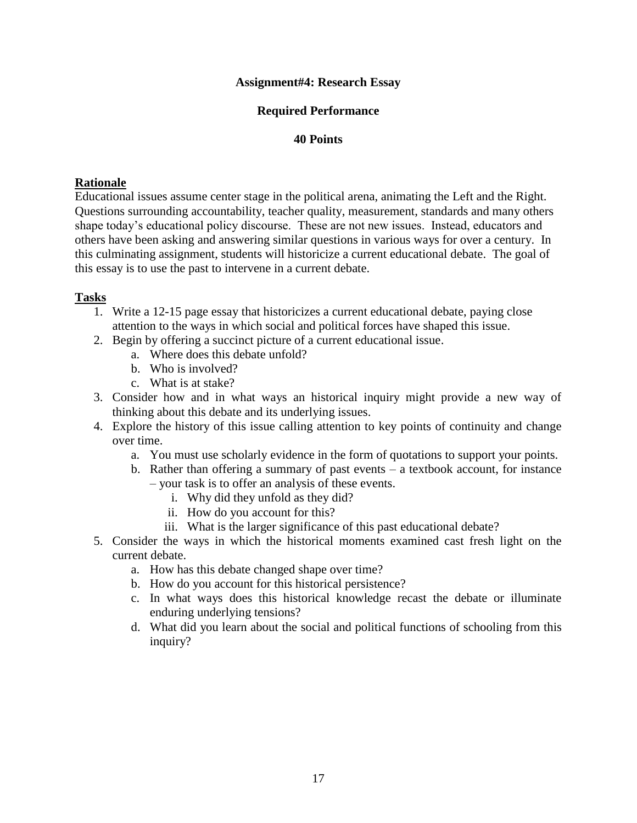### **Assignment#4: Research Essay**

### **Required Performance**

#### **40 Points**

#### **Rationale**

Educational issues assume center stage in the political arena, animating the Left and the Right. Questions surrounding accountability, teacher quality, measurement, standards and many others shape today's educational policy discourse. These are not new issues. Instead, educators and others have been asking and answering similar questions in various ways for over a century. In this culminating assignment, students will historicize a current educational debate. The goal of this essay is to use the past to intervene in a current debate.

### **Tasks**

- 1. Write a 12-15 page essay that historicizes a current educational debate, paying close attention to the ways in which social and political forces have shaped this issue.
- 2. Begin by offering a succinct picture of a current educational issue.
	- a. Where does this debate unfold?
	- b. Who is involved?
	- c. What is at stake?
- 3. Consider how and in what ways an historical inquiry might provide a new way of thinking about this debate and its underlying issues.
- 4. Explore the history of this issue calling attention to key points of continuity and change over time.
	- a. You must use scholarly evidence in the form of quotations to support your points.
	- b. Rather than offering a summary of past events a textbook account, for instance – your task is to offer an analysis of these events.
		- i. Why did they unfold as they did?
		- ii. How do you account for this?
		- iii. What is the larger significance of this past educational debate?
- 5. Consider the ways in which the historical moments examined cast fresh light on the current debate.
	- a. How has this debate changed shape over time?
	- b. How do you account for this historical persistence?
	- c. In what ways does this historical knowledge recast the debate or illuminate enduring underlying tensions?
	- d. What did you learn about the social and political functions of schooling from this inquiry?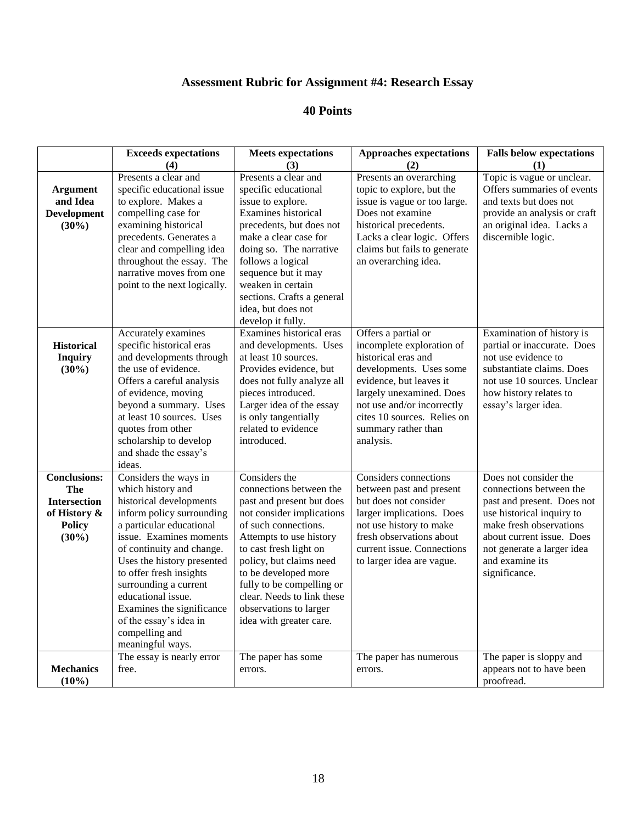## **Assessment Rubric for Assignment #4: Research Essay**

|                                                                                                       | <b>Exceeds expectations</b><br>(4)                                                                                                                                                                                                                                                                                                                                                          | <b>Meets</b> expectations<br>(3)                                                                                                                                                                                                                                                                                                                   | <b>Approaches expectations</b><br>(2)                                                                                                                                                                                                                      | <b>Falls below expectations</b><br>(1)                                                                                                                                                                                                |
|-------------------------------------------------------------------------------------------------------|---------------------------------------------------------------------------------------------------------------------------------------------------------------------------------------------------------------------------------------------------------------------------------------------------------------------------------------------------------------------------------------------|----------------------------------------------------------------------------------------------------------------------------------------------------------------------------------------------------------------------------------------------------------------------------------------------------------------------------------------------------|------------------------------------------------------------------------------------------------------------------------------------------------------------------------------------------------------------------------------------------------------------|---------------------------------------------------------------------------------------------------------------------------------------------------------------------------------------------------------------------------------------|
| <b>Argument</b><br>and Idea<br><b>Development</b><br>$(30\%)$                                         | Presents a clear and<br>specific educational issue<br>to explore. Makes a<br>compelling case for<br>examining historical<br>precedents. Generates a<br>clear and compelling idea<br>throughout the essay. The<br>narrative moves from one<br>point to the next logically.                                                                                                                   | Presents a clear and<br>specific educational<br>issue to explore.<br>Examines historical<br>precedents, but does not<br>make a clear case for<br>doing so. The narrative<br>follows a logical<br>sequence but it may<br>weaken in certain<br>sections. Crafts a general<br>idea, but does not<br>develop it fully.                                 | Presents an overarching<br>topic to explore, but the<br>issue is vague or too large.<br>Does not examine<br>historical precedents.<br>Lacks a clear logic. Offers<br>claims but fails to generate<br>an overarching idea.                                  | Topic is vague or unclear.<br>Offers summaries of events<br>and texts but does not<br>provide an analysis or craft<br>an original idea. Lacks a<br>discernible logic.                                                                 |
| <b>Historical</b><br><b>Inquiry</b><br>$(30\%)$                                                       | Accurately examines<br>specific historical eras<br>and developments through<br>the use of evidence.<br>Offers a careful analysis<br>of evidence, moving<br>beyond a summary. Uses<br>at least 10 sources. Uses<br>quotes from other<br>scholarship to develop<br>and shade the essay's<br>ideas.                                                                                            | Examines historical eras<br>and developments. Uses<br>at least 10 sources.<br>Provides evidence, but<br>does not fully analyze all<br>pieces introduced.<br>Larger idea of the essay<br>is only tangentially<br>related to evidence<br>introduced.                                                                                                 | Offers a partial or<br>incomplete exploration of<br>historical eras and<br>developments. Uses some<br>evidence, but leaves it<br>largely unexamined. Does<br>not use and/or incorrectly<br>cites 10 sources. Relies on<br>summary rather than<br>analysis. | Examination of history is<br>partial or inaccurate. Does<br>not use evidence to<br>substantiate claims. Does<br>not use 10 sources. Unclear<br>how history relates to<br>essay's larger idea.                                         |
| <b>Conclusions:</b><br><b>The</b><br><b>Intersection</b><br>of History &<br><b>Policy</b><br>$(30\%)$ | Considers the ways in<br>which history and<br>historical developments<br>inform policy surrounding<br>a particular educational<br>issue. Examines moments<br>of continuity and change.<br>Uses the history presented<br>to offer fresh insights<br>surrounding a current<br>educational issue.<br>Examines the significance<br>of the essay's idea in<br>compelling and<br>meaningful ways. | Considers the<br>connections between the<br>past and present but does<br>not consider implications<br>of such connections.<br>Attempts to use history<br>to cast fresh light on<br>policy, but claims need<br>to be developed more<br>fully to be compelling or<br>clear. Needs to link these<br>observations to larger<br>idea with greater care. | <b>Considers</b> connections<br>between past and present<br>but does not consider<br>larger implications. Does<br>not use history to make<br>fresh observations about<br>current issue. Connections<br>to larger idea are vague.                           | Does not consider the<br>connections between the<br>past and present. Does not<br>use historical inquiry to<br>make fresh observations<br>about current issue. Does<br>not generate a larger idea<br>and examine its<br>significance. |
| <b>Mechanics</b><br>$(10\%)$                                                                          | The essay is nearly error<br>free.                                                                                                                                                                                                                                                                                                                                                          | The paper has some<br>errors.                                                                                                                                                                                                                                                                                                                      | The paper has numerous<br>errors.                                                                                                                                                                                                                          | The paper is sloppy and<br>appears not to have been<br>proofread.                                                                                                                                                                     |